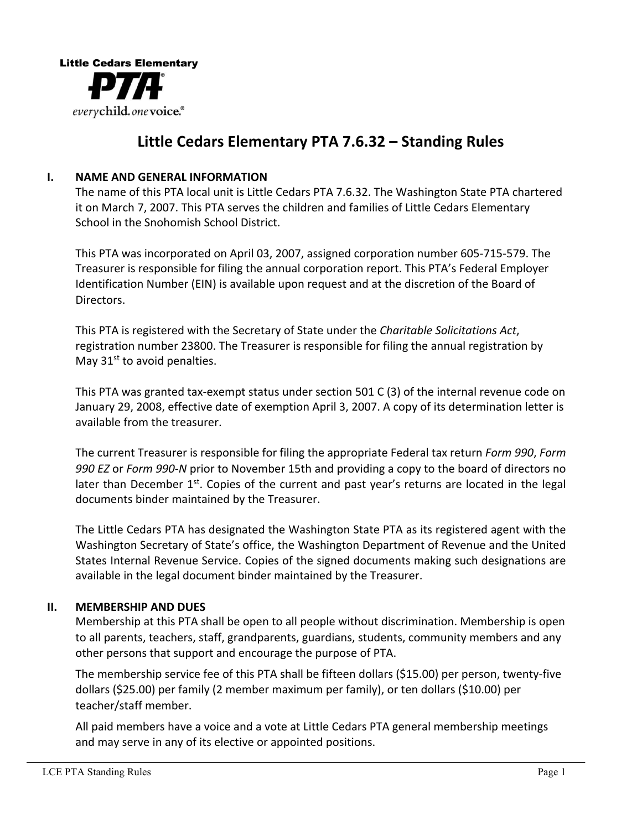

## Little Cedars Elementary PTA 7.6.32 – Standing Rules

#### **I. NAME AND GENERAL INFORMATION**

The name of this PTA local unit is Little Cedars PTA 7.6.32. The Washington State PTA chartered it on March 7, 2007. This PTA serves the children and families of Little Cedars Elementary School in the Snohomish School District.

This PTA was incorporated on April 03, 2007, assigned corporation number 605-715-579. The Treasurer is responsible for filing the annual corporation report. This PTA's Federal Employer Identification Number (EIN) is available upon request and at the discretion of the Board of Directors.

This PTA is registered with the Secretary of State under the *Charitable Solicitations Act*, registration number 23800. The Treasurer is responsible for filing the annual registration by May  $31<sup>st</sup>$  to avoid penalties.

This PTA was granted tax-exempt status under section 501 C (3) of the internal revenue code on January 29, 2008, effective date of exemption April 3, 2007. A copy of its determination letter is available from the treasurer.

The current Treasurer is responsible for filing the appropriate Federal tax return *Form 990, Form* 990 EZ or *Form 990-N* prior to November 15th and providing a copy to the board of directors no later than December  $1<sup>st</sup>$ . Copies of the current and past year's returns are located in the legal documents binder maintained by the Treasurer.

The Little Cedars PTA has designated the Washington State PTA as its registered agent with the Washington Secretary of State's office, the Washington Department of Revenue and the United States Internal Revenue Service. Copies of the signed documents making such designations are available in the legal document binder maintained by the Treasurer.

#### **II.** MEMBERSHIP AND DUES

Membership at this PTA shall be open to all people without discrimination. Membership is open to all parents, teachers, staff, grandparents, guardians, students, community members and any other persons that support and encourage the purpose of PTA.

The membership service fee of this PTA shall be fifteen dollars (\$15.00) per person, twenty-five dollars (\$25.00) per family (2 member maximum per family), or ten dollars (\$10.00) per teacher/staff member.

All paid members have a voice and a vote at Little Cedars PTA general membership meetings and may serve in any of its elective or appointed positions.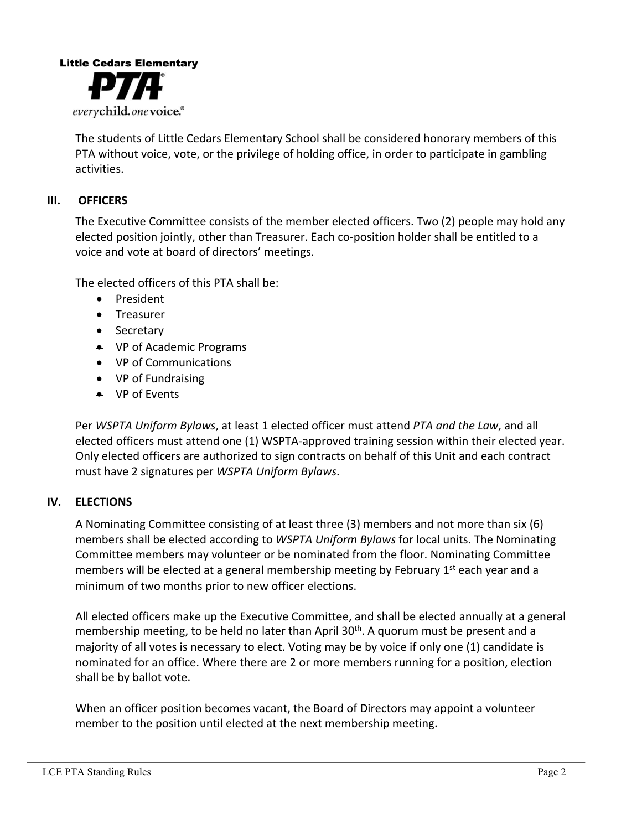

The students of Little Cedars Elementary School shall be considered honorary members of this PTA without voice, vote, or the privilege of holding office, in order to participate in gambling activities.

#### **III. OFFICERS**

The Executive Committee consists of the member elected officers. Two (2) people may hold any elected position jointly, other than Treasurer. Each co-position holder shall be entitled to a voice and vote at board of directors' meetings.

The elected officers of this PTA shall be:

- President
- Treasurer
- Secretary
- VP of Academic Programs
- VP of Communications
- VP of Fundraising
- $\bullet$  VP of Events

Per WSPTA Uniform Bylaws, at least 1 elected officer must attend PTA and the Law, and all elected officers must attend one (1) WSPTA-approved training session within their elected year. Only elected officers are authorized to sign contracts on behalf of this Unit and each contract must have 2 signatures per *WSPTA Uniform Bylaws*.

#### **IV. ELECTIONS**

A Nominating Committee consisting of at least three (3) members and not more than six (6) members shall be elected according to *WSPTA Uniform Bylaws* for local units. The Nominating Committee members may volunteer or be nominated from the floor. Nominating Committee members will be elected at a general membership meeting by February  $1<sup>st</sup>$  each year and a minimum of two months prior to new officer elections.

All elected officers make up the Executive Committee, and shall be elected annually at a general membership meeting, to be held no later than April  $30<sup>th</sup>$ . A quorum must be present and a majority of all votes is necessary to elect. Voting may be by voice if only one (1) candidate is nominated for an office. Where there are 2 or more members running for a position, election shall be by ballot vote.

When an officer position becomes vacant, the Board of Directors may appoint a volunteer member to the position until elected at the next membership meeting.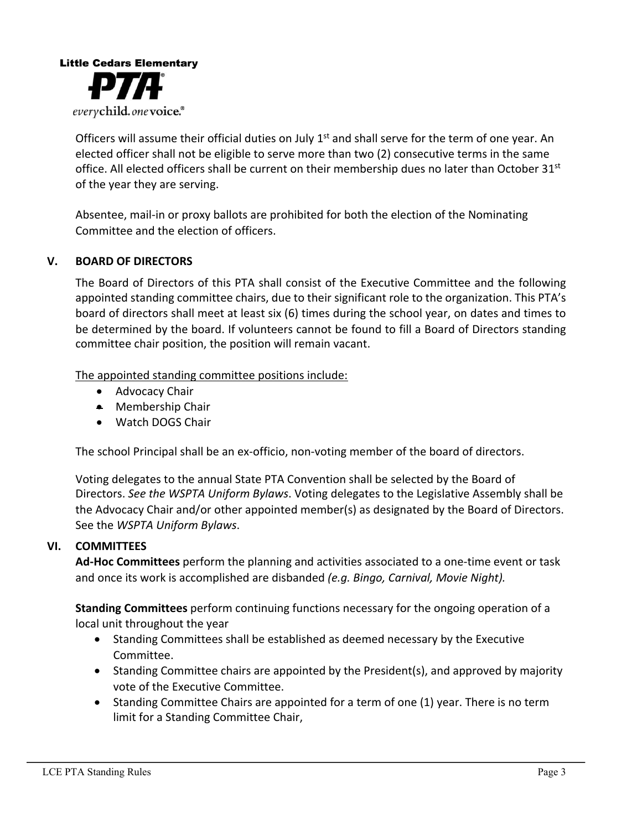

Officers will assume their official duties on July  $1<sup>st</sup>$  and shall serve for the term of one year. An elected officer shall not be eligible to serve more than two (2) consecutive terms in the same office. All elected officers shall be current on their membership dues no later than October 31<sup>st</sup> of the year they are serving.

Absentee, mail-in or proxy ballots are prohibited for both the election of the Nominating Committee and the election of officers.

#### **V. BOARD OF DIRECTORS**

The Board of Directors of this PTA shall consist of the Executive Committee and the following appointed standing committee chairs, due to their significant role to the organization. This PTA's board of directors shall meet at least six (6) times during the school year, on dates and times to be determined by the board. If volunteers cannot be found to fill a Board of Directors standing committee chair position, the position will remain vacant.

The appointed standing committee positions include:

- Advocacy Chair
- $\bullet$  Membership Chair
- Watch DOGS Chair

The school Principal shall be an ex-officio, non-voting member of the board of directors.

Voting delegates to the annual State PTA Convention shall be selected by the Board of Directors. See the WSPTA Uniform Bylaws. Voting delegates to the Legislative Assembly shall be the Advocacy Chair and/or other appointed member(s) as designated by the Board of Directors. See the *WSPTA Uniform Bylaws*.

#### **VI. COMMITTEES**

**Ad-Hoc Committees** perform the planning and activities associated to a one-time event or task and once its work is accomplished are disbanded *(e.g. Bingo, Carnival, Movie Night).* 

**Standing Committees** perform continuing functions necessary for the ongoing operation of a local unit throughout the year

- Standing Committees shall be established as deemed necessary by the Executive Committee.
- Standing Committee chairs are appointed by the President(s), and approved by majority vote of the Executive Committee.
- Standing Committee Chairs are appointed for a term of one (1) year. There is no term limit for a Standing Committee Chair,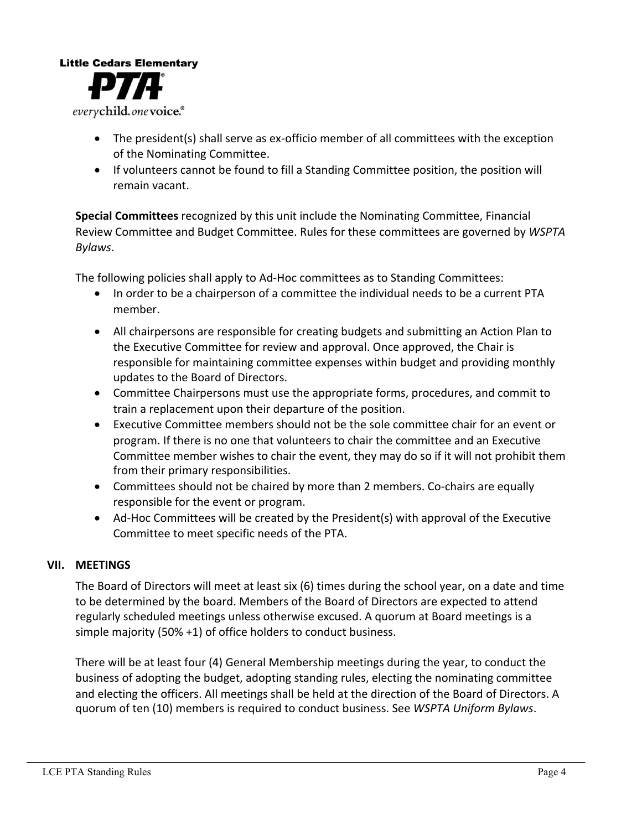# **Little Cedars Elementary** everychild.onevoice.<sup>®</sup>

- The president(s) shall serve as ex-officio member of all committees with the exception of the Nominating Committee.
- If volunteers cannot be found to fill a Standing Committee position, the position will remain vacant.

**Special Committees** recognized by this unit include the Nominating Committee, Financial Review Committee and Budget Committee. Rules for these committees are governed by *WSPTA Bylaws*.

The following policies shall apply to Ad-Hoc committees as to Standing Committees:

- In order to be a chairperson of a committee the individual needs to be a current PTA member.
- All chairpersons are responsible for creating budgets and submitting an Action Plan to the Executive Committee for review and approval. Once approved, the Chair is responsible for maintaining committee expenses within budget and providing monthly updates to the Board of Directors.
- Committee Chairpersons must use the appropriate forms, procedures, and commit to train a replacement upon their departure of the position.
- Executive Committee members should not be the sole committee chair for an event or program. If there is no one that volunteers to chair the committee and an Executive Committee member wishes to chair the event, they may do so if it will not prohibit them from their primary responsibilities.
- Committees should not be chaired by more than 2 members. Co-chairs are equally responsible for the event or program.
- Ad-Hoc Committees will be created by the President(s) with approval of the Executive Committee to meet specific needs of the PTA.

### **VII. MEETINGS**

The Board of Directors will meet at least  $\sin(6)$  times during the school year, on a date and time to be determined by the board. Members of the Board of Directors are expected to attend regularly scheduled meetings unless otherwise excused. A quorum at Board meetings is a simple majority  $(50% +1)$  of office holders to conduct business.

There will be at least four (4) General Membership meetings during the year, to conduct the business of adopting the budget, adopting standing rules, electing the nominating committee and electing the officers. All meetings shall be held at the direction of the Board of Directors. A quorum of ten (10) members is required to conduct business. See WSPTA Uniform Bylaws.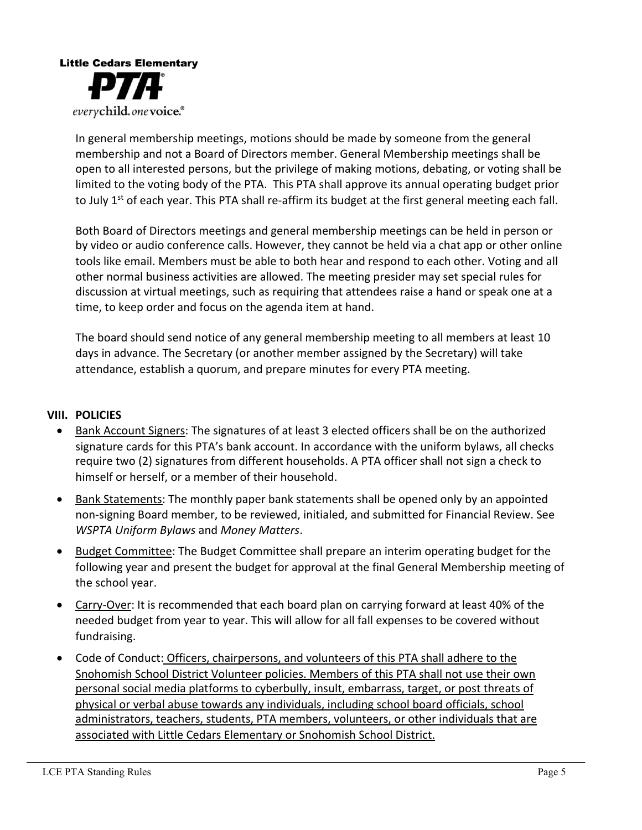

In general membership meetings, motions should be made by someone from the general membership and not a Board of Directors member. General Membership meetings shall be open to all interested persons, but the privilege of making motions, debating, or voting shall be limited to the voting body of the PTA. This PTA shall approve its annual operating budget prior to July  $1<sup>st</sup>$  of each year. This PTA shall re-affirm its budget at the first general meeting each fall.

Both Board of Directors meetings and general membership meetings can be held in person or by video or audio conference calls. However, they cannot be held via a chat app or other online tools like email. Members must be able to both hear and respond to each other. Voting and all other normal business activities are allowed. The meeting presider may set special rules for discussion at virtual meetings, such as requiring that attendees raise a hand or speak one at a time, to keep order and focus on the agenda item at hand.

The board should send notice of any general membership meeting to all members at least 10 days in advance. The Secretary (or another member assigned by the Secretary) will take attendance, establish a quorum, and prepare minutes for every PTA meeting.

#### **VIII. POLICIES**

- Bank Account Signers: The signatures of at least 3 elected officers shall be on the authorized signature cards for this PTA's bank account. In accordance with the uniform bylaws, all checks require two (2) signatures from different households. A PTA officer shall not sign a check to himself or herself, or a member of their household.
- Bank Statements: The monthly paper bank statements shall be opened only by an appointed non-signing Board member, to be reviewed, initialed, and submitted for Financial Review. See *WSPTA Uniform Bylaws* and *Money Matters*.
- Budget Committee: The Budget Committee shall prepare an interim operating budget for the following year and present the budget for approval at the final General Membership meeting of the school year.
- Carry-Over: It is recommended that each board plan on carrying forward at least 40% of the needed budget from year to year. This will allow for all fall expenses to be covered without fundraising.
- Code of Conduct: Officers, chairpersons, and volunteers of this PTA shall adhere to the Snohomish School District Volunteer policies. Members of this PTA shall not use their own personal social media platforms to cyberbully, insult, embarrass, target, or post threats of physical or verbal abuse towards any individuals, including school board officials, school administrators, teachers, students, PTA members, volunteers, or other individuals that are associated with Little Cedars Elementary or Snohomish School District.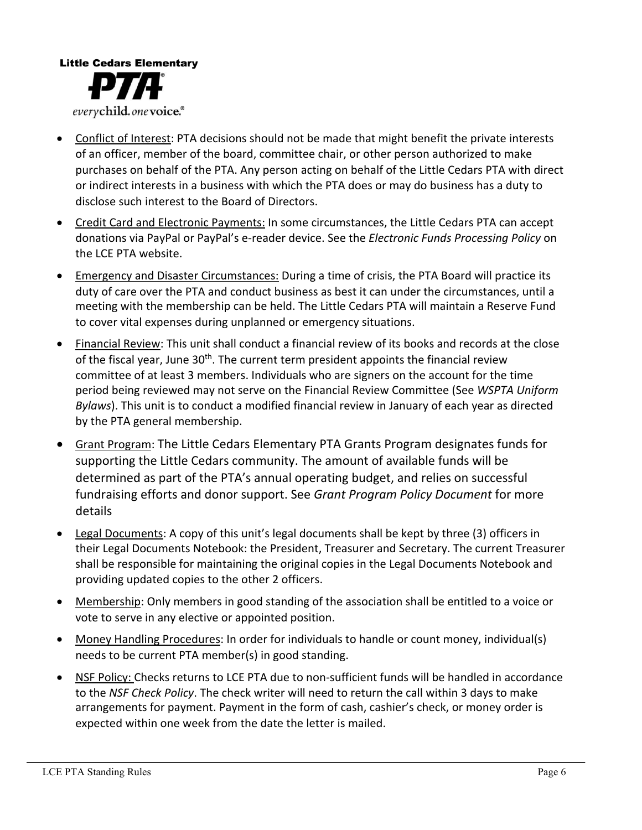

- Conflict of Interest: PTA decisions should not be made that might benefit the private interests of an officer, member of the board, committee chair, or other person authorized to make purchases on behalf of the PTA. Any person acting on behalf of the Little Cedars PTA with direct or indirect interests in a business with which the PTA does or may do business has a duty to disclose such interest to the Board of Directors.
- Credit Card and Electronic Payments: In some circumstances, the Little Cedars PTA can accept donations via PayPal or PayPal's e-reader device. See the *Electronic Funds Processing Policy* on the LCE PTA website.
- Emergency and Disaster Circumstances: During a time of crisis, the PTA Board will practice its duty of care over the PTA and conduct business as best it can under the circumstances, until a meeting with the membership can be held. The Little Cedars PTA will maintain a Reserve Fund to cover vital expenses during unplanned or emergency situations.
- Financial Review: This unit shall conduct a financial review of its books and records at the close of the fiscal year, June 30<sup>th</sup>. The current term president appoints the financial review committee of at least 3 members. Individuals who are signers on the account for the time period being reviewed may not serve on the Financial Review Committee (See WSPTA Uniform *Bylaws*). This unit is to conduct a modified financial review in January of each year as directed by the PTA general membership.
- Grant Program: The Little Cedars Elementary PTA Grants Program designates funds for supporting the Little Cedars community. The amount of available funds will be determined as part of the PTA's annual operating budget, and relies on successful fundraising efforts and donor support. See *Grant Program Policy Document* for more details
- Legal Documents: A copy of this unit's legal documents shall be kept by three  $(3)$  officers in their Legal Documents Notebook: the President, Treasurer and Secretary. The current Treasurer shall be responsible for maintaining the original copies in the Legal Documents Notebook and providing updated copies to the other 2 officers.
- Membership: Only members in good standing of the association shall be entitled to a voice or vote to serve in any elective or appointed position.
- Money Handling Procedures: In order for individuals to handle or count money, individual(s) needs to be current PTA member(s) in good standing.
- NSF Policy: Checks returns to LCE PTA due to non-sufficient funds will be handled in accordance to the *NSF Check Policy*. The check writer will need to return the call within 3 days to make arrangements for payment. Payment in the form of cash, cashier's check, or money order is expected within one week from the date the letter is mailed.